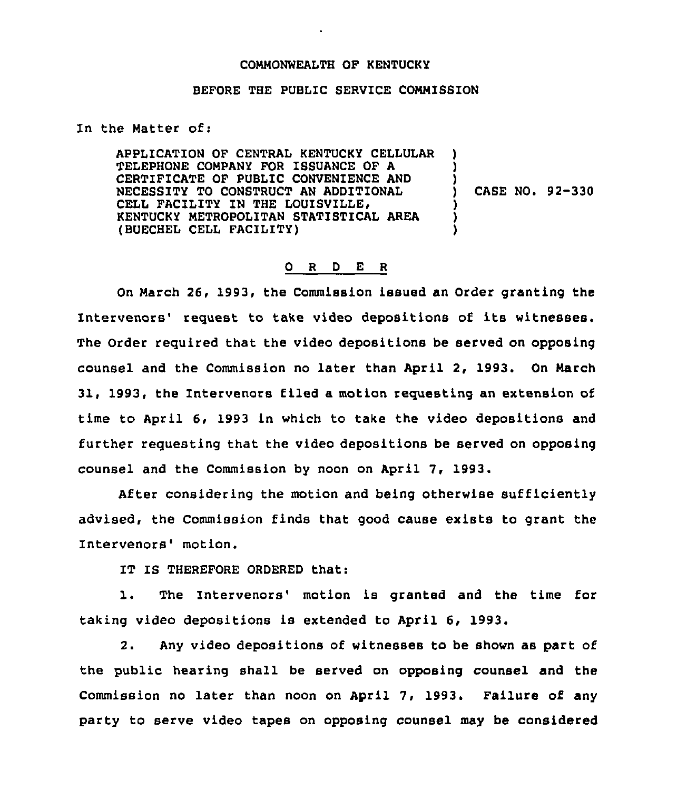## COMMONWEALTH OF KENTUCKY

## BEFORE THE PUBLIC SERVICE CONMISSION

In the Natter of:

APPLICATION OF CENTRAL KENTUCKY CELLULAR TELEPHONE COMPANY FOR ISSUANCE OF A CERTIFICATE OF PUBLIC CONVENIENCE AND NECESSITY TO CONSTRUCT AN ADDITIONAL CELL FACILITY IN THE LOUISVILLE, KENTUCKY METROPOLITAN STATISTICAL AREA (BUECHEL CELL FACILITY) ) ) ) ) CASE NO. 92-330 ) ) )

## 0 <sup>R</sup> <sup>D</sup> E <sup>R</sup>

On March 26, 1993, the Commission issued an Order granting the Intervenors' request to take video depositions of its witnesses. The Order required that the video depositions be served on opposing counsel and the Commission no later than April 2, 1993. On March 31, 1993, the Intervenors filed a motion requesting an extension of time to April 6, 1993 in which to take the video depositions and further requesting that the video depositions be served on opposing counsel and the Commission by noon on April 7, 1993.

After considering the motion and being otherwise sufficiently advised, the Commission finds that good cause exists to grant the Intervenors' motion.

IT IS THEREFORE ORDERED that:

1. The Intervenors' motion is granted and the time for taking video depositions is extended to April 6, 1993.

2. Any video depositions of witnesses to be shown as part of the public hearing shall be served on opposing counsel and the Commission no later than noon on April 7, 1993. Failure of any party to serve video tapes on opposing counsel may be considered